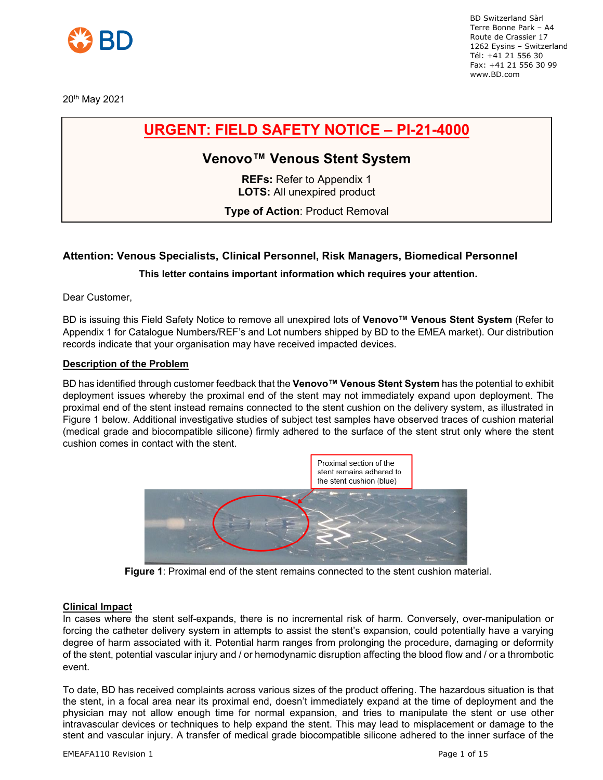

20th May 2021

BD Switzerland Sàrl Terre Bonne Park – A4 Route de Crassier 17 1262 Eysins – Switzerland Tél: +41 21 556 30 Fax: +41 21 556 30 99 www.BD.com

# **URGENT: FIELD SAFETY NOTICE – PI-21-4000**

## **Venovo™ Venous Stent System**

**REFs:** Refer to Appendix 1 **LOTS:** All unexpired product

**Type of Action**: Product Removal

## **Attention: Venous Specialists, Clinical Personnel, Risk Managers, Biomedical Personnel**

### **This letter contains important information which requires your attention.**

Dear Customer,

BD is issuing this Field Safety Notice to remove all unexpired lots of **Venovo™ Venous Stent System** (Refer to Appendix 1 for Catalogue Numbers/REF's and Lot numbers shipped by BD to the EMEA market). Our distribution records indicate that your organisation may have received impacted devices.

#### **Description of the Problem**

BD has identified through customer feedback that the **Venovo™ Venous Stent System** has the potential to exhibit deployment issues whereby the proximal end of the stent may not immediately expand upon deployment. The proximal end of the stent instead remains connected to the stent cushion on the delivery system, as illustrated in Figure 1 below. Additional investigative studies of subject test samples have observed traces of cushion material (medical grade and biocompatible silicone) firmly adhered to the surface of the stent strut only where the stent cushion comes in contact with the stent.



**Figure 1**: Proximal end of the stent remains connected to the stent cushion material.

#### **Clinical Impact**

In cases where the stent self-expands, there is no incremental risk of harm. Conversely, over-manipulation or forcing the catheter delivery system in attempts to assist the stent's expansion, could potentially have a varying degree of harm associated with it. Potential harm ranges from prolonging the procedure, damaging or deformity of the stent, potential vascular injury and / or hemodynamic disruption affecting the blood flow and / or a thrombotic event.

To date, BD has received complaints across various sizes of the product offering. The hazardous situation is that the stent, in a focal area near its proximal end, doesn't immediately expand at the time of deployment and the physician may not allow enough time for normal expansion, and tries to manipulate the stent or use other intravascular devices or techniques to help expand the stent. This may lead to misplacement or damage to the stent and vascular injury. A transfer of medical grade biocompatible silicone adhered to the inner surface of the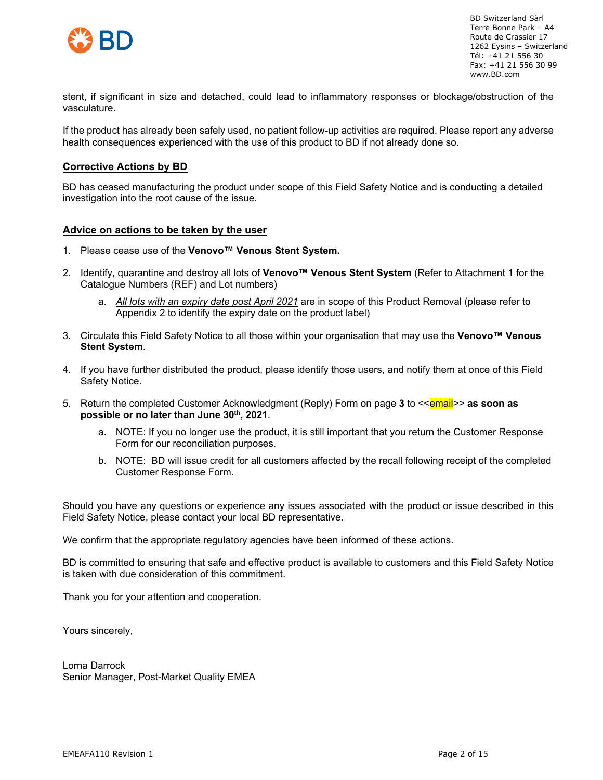

stent, if significant in size and detached, could lead to inflammatory responses or blockage/obstruction of the vasculature.

If the product has already been safely used, no patient follow-up activities are required. Please report any adverse health consequences experienced with the use of this product to BD if not already done so.

#### **Corrective Actions by BD**

BD has ceased manufacturing the product under scope of this Field Safety Notice and is conducting a detailed investigation into the root cause of the issue.

#### **Advice on actions to be taken by the user**

- 1. Please cease use of the **Venovo™ Venous Stent System.**
- 2. Identify, quarantine and destroy all lots of **Venovo™ Venous Stent System** (Refer to Attachment 1 for the Catalogue Numbers (REF) and Lot numbers)
	- a. *All lots with an expiry date post April 2021* are in scope of this Product Removal (please refer to Appendix 2 to identify the expiry date on the product label)
- 3. Circulate this Field Safety Notice to all those within your organisation that may use the **Venovo™ Venous Stent System**.
- 4. If you have further distributed the product, please identify those users, and notify them at once of this Field Safety Notice.
- 5. Return the completed Customer Acknowledgment (Reply) Form on page 3 to <<**email>> as soon as possible or no later than June 30th, 2021**.
	- a. NOTE: If you no longer use the product, it is still important that you return the Customer Response Form for our reconciliation purposes.
	- b. NOTE: BD will issue credit for all customers affected by the recall following receipt of the completed Customer Response Form.

Should you have any questions or experience any issues associated with the product or issue described in this Field Safety Notice, please contact your local BD representative.

We confirm that the appropriate regulatory agencies have been informed of these actions.

BD is committed to ensuring that safe and effective product is available to customers and this Field Safety Notice is taken with due consideration of this commitment.

Thank you for your attention and cooperation.

Yours sincerely,

Lorna Darrock Senior Manager, Post-Market Quality EMEA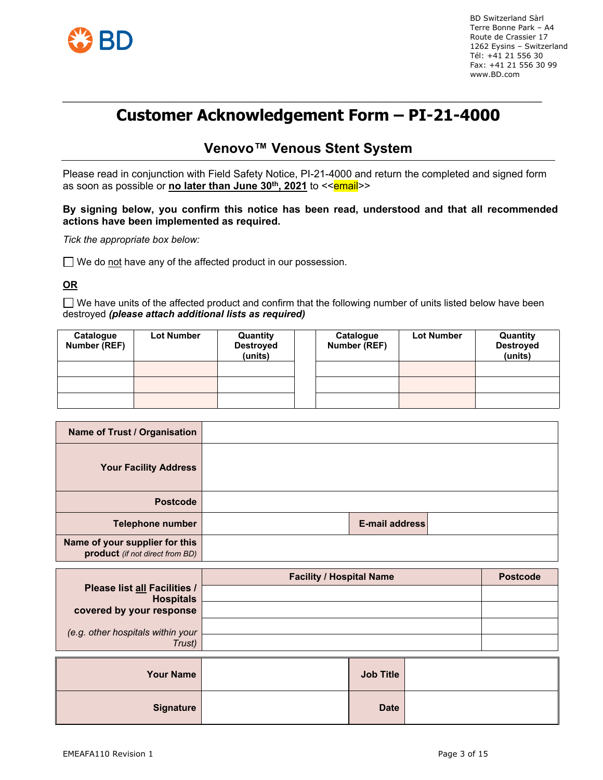

#### *\_\_\_\_\_\_\_\_\_\_\_\_\_\_\_\_\_\_\_\_\_\_\_\_\_\_\_\_\_\_\_\_\_\_\_\_\_\_\_\_\_\_\_\_\_\_\_\_\_\_\_\_\_\_\_\_\_\_\_\_\_\_\_\_\_\_\_\_\_\_\_\_\_\_\_\_\_\_\_\_\_\_\_\_\_* **Customer Acknowledgement Form – PI-21-4000**

## **Venovo™ Venous Stent System**

Please read in conjunction with Field Safety Notice, PI-21-4000 and return the completed and signed form as soon as possible or **no later than June 30<sup>th</sup>, 2021** to << **email**>>

#### **By signing below, you confirm this notice has been read, understood and that all recommended actions have been implemented as required.**

*Tick the appropriate box below:*

 $\Box$  We do not have any of the affected product in our possession.

**OR**

 $\Box$  We have units of the affected product and confirm that the following number of units listed below have been destroyed *(please attach additional lists as required)*

| Catalogue<br>Number (REF) | <b>Lot Number</b> | Quantity<br><b>Destroyed</b><br>(units) | Catalogue<br>Number (REF) | <b>Lot Number</b> | Quantity<br><b>Destroyed</b><br>(units) |
|---------------------------|-------------------|-----------------------------------------|---------------------------|-------------------|-----------------------------------------|
|                           |                   |                                         |                           |                   |                                         |
|                           |                   |                                         |                           |                   |                                         |
|                           |                   |                                         |                           |                   |                                         |

| Name of Trust / Organisation                                      |                |  |
|-------------------------------------------------------------------|----------------|--|
| <b>Your Facility Address</b>                                      |                |  |
| <b>Postcode</b>                                                   |                |  |
| Telephone number                                                  | E-mail address |  |
| Name of your supplier for this<br>product (if not direct from BD) |                |  |

|                                                         | <b>Facility / Hospital Name</b> | <b>Postcode</b> |
|---------------------------------------------------------|---------------------------------|-----------------|
| <b>Please list all Facilities /</b><br><b>Hospitals</b> |                                 |                 |
| covered by your response                                |                                 |                 |
| (e.g. other hospitals within your                       |                                 |                 |
| Trust)                                                  |                                 |                 |

| <b>Your Name</b> | <b>Job Title</b> |  |
|------------------|------------------|--|
| <b>Signature</b> | <b>Date</b>      |  |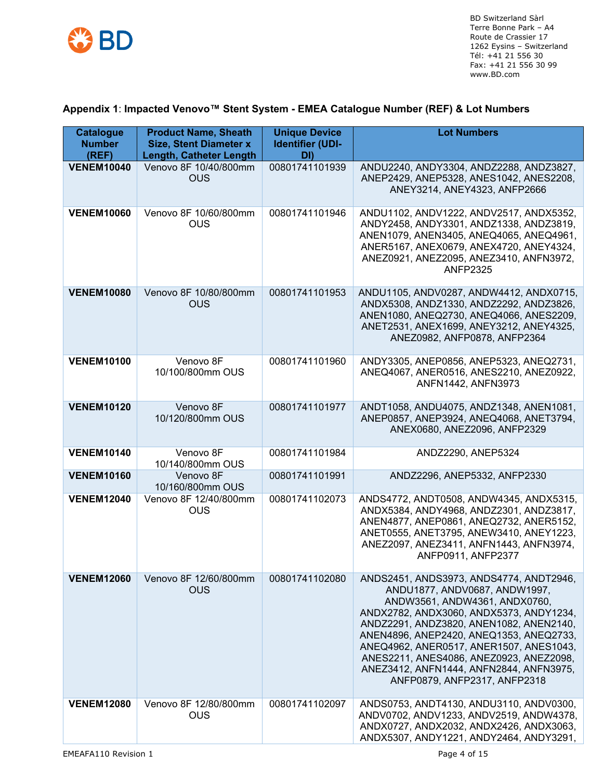

## **Appendix 1**: **Impacted Venovo™ Stent System - EMEA Catalogue Number (REF) & Lot Numbers**

| <b>Catalogue</b><br><b>Number</b><br>(REF) | <b>Product Name, Sheath</b><br><b>Size, Stent Diameter x</b><br><b>Length, Catheter Length</b> | <b>Unique Device</b><br><b>Identifier (UDI-</b><br>DI) | <b>Lot Numbers</b>                                                                                                                                                                                                                                                                                                                                                                                          |
|--------------------------------------------|------------------------------------------------------------------------------------------------|--------------------------------------------------------|-------------------------------------------------------------------------------------------------------------------------------------------------------------------------------------------------------------------------------------------------------------------------------------------------------------------------------------------------------------------------------------------------------------|
| <b>VENEM10040</b>                          | Venovo 8F 10/40/800mm<br><b>OUS</b>                                                            | 00801741101939                                         | ANDU2240, ANDY3304, ANDZ2288, ANDZ3827,<br>ANEP2429, ANEP5328, ANES1042, ANES2208,<br>ANEY3214, ANEY4323, ANFP2666                                                                                                                                                                                                                                                                                          |
| <b>VENEM10060</b>                          | Venovo 8F 10/60/800mm<br><b>OUS</b>                                                            | 00801741101946                                         | ANDU1102, ANDV1222, ANDV2517, ANDX5352,<br>ANDY2458, ANDY3301, ANDZ1338, ANDZ3819,<br>ANEN1079, ANEN3405, ANEQ4065, ANEQ4961,<br>ANER5167, ANEX0679, ANEX4720, ANEY4324,<br>ANEZ0921, ANEZ2095, ANEZ3410, ANFN3972,<br><b>ANFP2325</b>                                                                                                                                                                      |
| <b>VENEM10080</b>                          | Venovo 8F 10/80/800mm<br><b>OUS</b>                                                            | 00801741101953                                         | ANDU1105, ANDV0287, ANDW4412, ANDX0715,<br>ANDX5308, ANDZ1330, ANDZ2292, ANDZ3826,<br>ANEN1080, ANEQ2730, ANEQ4066, ANES2209,<br>ANET2531, ANEX1699, ANEY3212, ANEY4325,<br>ANEZ0982, ANFP0878, ANFP2364                                                                                                                                                                                                    |
| <b>VENEM10100</b>                          | Venovo 8F<br>10/100/800mm OUS                                                                  | 00801741101960                                         | ANDY3305, ANEP0856, ANEP5323, ANEQ2731,<br>ANEQ4067, ANER0516, ANES2210, ANEZ0922,<br>ANFN1442, ANFN3973                                                                                                                                                                                                                                                                                                    |
| <b>VENEM10120</b>                          | Venovo 8F<br>10/120/800mm OUS                                                                  | 00801741101977                                         | ANDT1058, ANDU4075, ANDZ1348, ANEN1081,<br>ANEP0857, ANEP3924, ANEQ4068, ANET3794,<br>ANEX0680, ANEZ2096, ANFP2329                                                                                                                                                                                                                                                                                          |
| <b>VENEM10140</b>                          | Venovo 8F<br>10/140/800mm OUS                                                                  | 00801741101984                                         | ANDZ2290, ANEP5324                                                                                                                                                                                                                                                                                                                                                                                          |
| <b>VENEM10160</b>                          | Venovo 8F<br>10/160/800mm OUS                                                                  | 00801741101991                                         | ANDZ2296, ANEP5332, ANFP2330                                                                                                                                                                                                                                                                                                                                                                                |
| <b>VENEM12040</b>                          | Venovo 8F 12/40/800mm<br><b>OUS</b>                                                            | 00801741102073                                         | ANDS4772, ANDT0508, ANDW4345, ANDX5315,<br>ANDX5384, ANDY4968, ANDZ2301, ANDZ3817,<br>ANEN4877, ANEP0861, ANEQ2732, ANER5152,<br>ANET0555, ANET3795, ANEW3410, ANEY1223,<br>ANEZ2097, ANEZ3411, ANFN1443, ANFN3974,<br>ANFP0911, ANFP2377                                                                                                                                                                   |
| <b>VENEM12060</b>                          | Venovo 8F 12/60/800mm<br><b>OUS</b>                                                            | 00801741102080                                         | ANDS2451, ANDS3973, ANDS4774, ANDT2946,<br>ANDU1877, ANDV0687, ANDW1997,<br>ANDW3561, ANDW4361, ANDX0760,<br>ANDX2782, ANDX3060, ANDX5373, ANDY1234,<br>ANDZ2291, ANDZ3820, ANEN1082, ANEN2140,<br>ANEN4896, ANEP2420, ANEQ1353, ANEQ2733,<br>ANEQ4962, ANER0517, ANER1507, ANES1043,<br>ANES2211, ANES4086, ANEZ0923, ANEZ2098,<br>ANEZ3412, ANFN1444, ANFN2844, ANFN3975,<br>ANFP0879, ANFP2317, ANFP2318 |
| <b>VENEM12080</b>                          | Venovo 8F 12/80/800mm<br><b>OUS</b>                                                            | 00801741102097                                         | ANDS0753, ANDT4130, ANDU3110, ANDV0300,<br>ANDV0702, ANDV1233, ANDV2519, ANDW4378,<br>ANDX0727, ANDX2032, ANDX2426, ANDX3063,<br>ANDX5307, ANDY1221, ANDY2464, ANDY3291,                                                                                                                                                                                                                                    |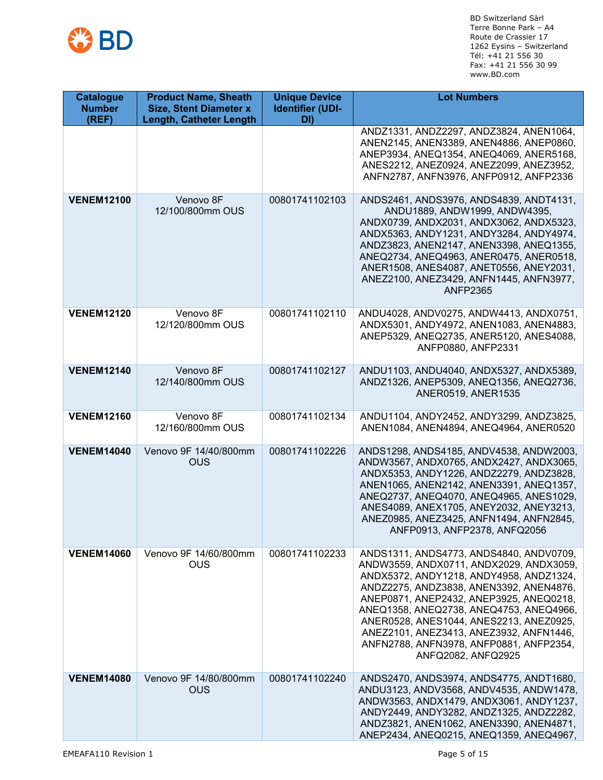

| <b>Catalogue</b><br><b>Number</b><br>(REF) | <b>Product Name, Sheath</b><br><b>Size, Stent Diameter x</b><br><b>Length, Catheter Length</b> | <b>Unique Device</b><br><b>Identifier (UDI-</b><br>DI) | <b>Lot Numbers</b>                                                                                                                                                                                                                                                                                                                                                                                                    |
|--------------------------------------------|------------------------------------------------------------------------------------------------|--------------------------------------------------------|-----------------------------------------------------------------------------------------------------------------------------------------------------------------------------------------------------------------------------------------------------------------------------------------------------------------------------------------------------------------------------------------------------------------------|
|                                            |                                                                                                |                                                        | ANDZ1331, ANDZ2297, ANDZ3824, ANEN1064,<br>ANEN2145, ANEN3389, ANEN4886, ANEP0860,<br>ANEP3934, ANEQ1354, ANEQ4069, ANER5168,<br>ANES2212, ANEZ0924, ANEZ2099, ANEZ3952,<br>ANFN2787, ANFN3976, ANFP0912, ANFP2336                                                                                                                                                                                                    |
| <b>VENEM12100</b>                          | Venovo 8F<br>12/100/800mm OUS                                                                  | 00801741102103                                         | ANDS2461, ANDS3976, ANDS4839, ANDT4131,<br>ANDU1889, ANDW1999, ANDW4395,<br>ANDX0739, ANDX2031, ANDX3062, ANDX5323,<br>ANDX5363, ANDY1231, ANDY3284, ANDY4974,<br>ANDZ3823, ANEN2147, ANEN3398, ANEQ1355,<br>ANEQ2734, ANEQ4963, ANER0475, ANER0518,<br>ANER1508, ANES4087, ANET0556, ANEY2031,<br>ANEZ2100, ANEZ3429, ANFN1445, ANFN3977,<br><b>ANFP2365</b>                                                         |
| <b>VENEM12120</b>                          | Venovo 8F<br>12/120/800mm OUS                                                                  | 00801741102110                                         | ANDU4028, ANDV0275, ANDW4413, ANDX0751,<br>ANDX5301, ANDY4972, ANEN1083, ANEN4883,<br>ANEP5329, ANEQ2735, ANER5120, ANES4088,<br>ANFP0880, ANFP2331                                                                                                                                                                                                                                                                   |
| <b>VENEM12140</b>                          | Venovo 8F<br>12/140/800mm OUS                                                                  | 00801741102127                                         | ANDU1103, ANDU4040, ANDX5327, ANDX5389,<br>ANDZ1326, ANEP5309, ANEQ1356, ANEQ2736,<br>ANER0519, ANER1535                                                                                                                                                                                                                                                                                                              |
| <b>VENEM12160</b>                          | Venovo 8F<br>12/160/800mm OUS                                                                  | 00801741102134                                         | ANDU1104, ANDY2452, ANDY3299, ANDZ3825,<br>ANEN1084, ANEN4894, ANEQ4964, ANER0520                                                                                                                                                                                                                                                                                                                                     |
| <b>VENEM14040</b>                          | Venovo 9F 14/40/800mm<br>OUS                                                                   | 00801741102226                                         | ANDS1298, ANDS4185, ANDV4538, ANDW2003,<br>ANDW3567, ANDX0765, ANDX2427, ANDX3065,<br>ANDX5353, ANDY1226, ANDZ2279, ANDZ3828,<br>ANEN1065, ANEN2142, ANEN3391, ANEQ1357,<br>ANEQ2737, ANEQ4070, ANEQ4965, ANES1029,<br>ANES4089, ANEX1705, ANEY2032, ANEY3213,<br>ANEZ0985, ANEZ3425, ANFN1494, ANFN2845,<br>ANFP0913, ANFP2378, ANFQ2056                                                                             |
| <b>VENEM14060</b>                          | Venovo 9F 14/60/800mm<br><b>OUS</b>                                                            | 00801741102233                                         | ANDS1311, ANDS4773, ANDS4840, ANDV0709,<br>ANDW3559, ANDX0711, ANDX2029, ANDX3059,<br>ANDX5372, ANDY1218, ANDY4958, ANDZ1324,<br>ANDZ2275, ANDZ3838, ANEN3392, ANEN4876,<br>ANEP0871, ANEP2432, ANEP3925, ANEQ0218,<br>ANEQ1358, ANEQ2738, ANEQ4753, ANEQ4966,<br>ANER0528, ANES1044, ANES2213, ANEZ0925,<br>ANEZ2101, ANEZ3413, ANEZ3932, ANFN1446,<br>ANFN2788, ANFN3978, ANFP0881, ANFP2354,<br>ANFQ2082, ANFQ2925 |
| <b>VENEM14080</b>                          | Venovo 9F 14/80/800mm<br><b>OUS</b>                                                            | 00801741102240                                         | ANDS2470, ANDS3974, ANDS4775, ANDT1680,<br>ANDU3123, ANDV3568, ANDV4535, ANDW1478,<br>ANDW3563, ANDX1479, ANDX3061, ANDY1237,<br>ANDY2449, ANDY3282, ANDZ1325, ANDZ2282,<br>ANDZ3821, ANEN1062, ANEN3390, ANEN4871,<br>ANEP2434, ANEQ0215, ANEQ1359, ANEQ4967,                                                                                                                                                        |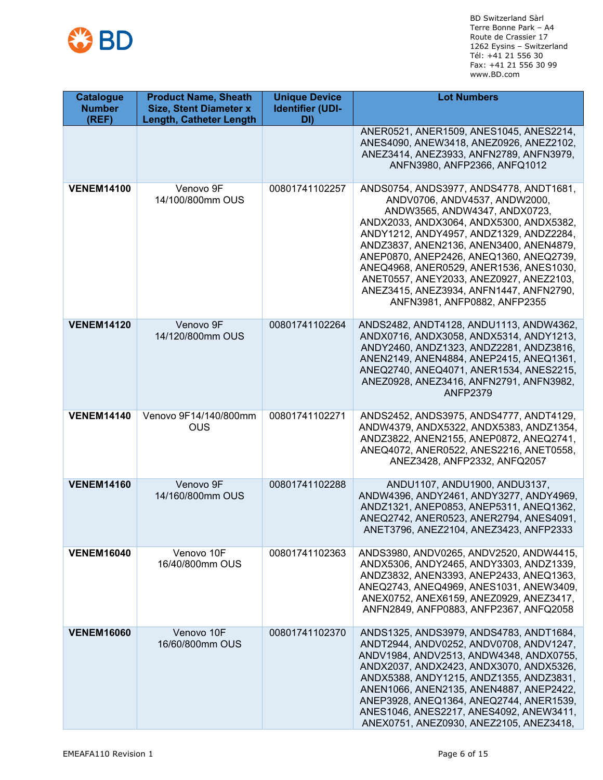

| <b>Catalogue</b><br><b>Number</b><br>(REF) | <b>Product Name, Sheath</b><br><b>Size, Stent Diameter x</b><br><b>Length, Catheter Length</b> | <b>Unique Device</b><br><b>Identifier (UDI-</b><br>DI) | <b>Lot Numbers</b>                                                                                                                                                                                                                                                                                                                                                                                                                                     |
|--------------------------------------------|------------------------------------------------------------------------------------------------|--------------------------------------------------------|--------------------------------------------------------------------------------------------------------------------------------------------------------------------------------------------------------------------------------------------------------------------------------------------------------------------------------------------------------------------------------------------------------------------------------------------------------|
|                                            |                                                                                                |                                                        | ANER0521, ANER1509, ANES1045, ANES2214,<br>ANES4090, ANEW3418, ANEZ0926, ANEZ2102,<br>ANEZ3414, ANEZ3933, ANFN2789, ANFN3979,<br>ANFN3980, ANFP2366, ANFQ1012                                                                                                                                                                                                                                                                                          |
| <b>VENEM14100</b>                          | Venovo 9F<br>14/100/800mm OUS                                                                  | 00801741102257                                         | ANDS0754, ANDS3977, ANDS4778, ANDT1681,<br>ANDV0706, ANDV4537, ANDW2000,<br>ANDW3565, ANDW4347, ANDX0723,<br>ANDX2033, ANDX3064, ANDX5300, ANDX5382,<br>ANDY1212, ANDY4957, ANDZ1329, ANDZ2284,<br>ANDZ3837, ANEN2136, ANEN3400, ANEN4879,<br>ANEP0870, ANEP2426, ANEQ1360, ANEQ2739,<br>ANEQ4968, ANER0529, ANER1536, ANES1030,<br>ANET0557, ANEY2033, ANEZ0927, ANEZ2103,<br>ANEZ3415, ANEZ3934, ANFN1447, ANFN2790,<br>ANFN3981, ANFP0882, ANFP2355 |
| <b>VENEM14120</b>                          | Venovo 9F<br>14/120/800mm OUS                                                                  | 00801741102264                                         | ANDS2482, ANDT4128, ANDU1113, ANDW4362,<br>ANDX0716, ANDX3058, ANDX5314, ANDY1213,<br>ANDY2460, ANDZ1323, ANDZ2281, ANDZ3816,<br>ANEN2149, ANEN4884, ANEP2415, ANEQ1361,<br>ANEQ2740, ANEQ4071, ANER1534, ANES2215,<br>ANEZ0928, ANEZ3416, ANFN2791, ANFN3982,<br><b>ANFP2379</b>                                                                                                                                                                      |
| <b>VENEM14140</b>                          | Venovo 9F14/140/800mm<br><b>OUS</b>                                                            | 00801741102271                                         | ANDS2452, ANDS3975, ANDS4777, ANDT4129,<br>ANDW4379, ANDX5322, ANDX5383, ANDZ1354,<br>ANDZ3822, ANEN2155, ANEP0872, ANEQ2741,<br>ANEQ4072, ANER0522, ANES2216, ANET0558,<br>ANEZ3428, ANFP2332, ANFQ2057                                                                                                                                                                                                                                               |
| <b>VENEM14160</b>                          | Venovo 9F<br>14/160/800mm OUS                                                                  | 00801741102288                                         | ANDU1107, ANDU1900, ANDU3137,<br>ANDW4396, ANDY2461, ANDY3277, ANDY4969,<br>ANDZ1321, ANEP0853, ANEP5311, ANEQ1362,<br>ANEQ2742, ANER0523, ANER2794, ANES4091,<br>ANET3796, ANEZ2104, ANEZ3423, ANFP2333                                                                                                                                                                                                                                               |
| <b>VENEM16040</b>                          | Venovo 10F<br>16/40/800mm OUS                                                                  | 00801741102363                                         | ANDS3980, ANDV0265, ANDV2520, ANDW4415,<br>ANDX5306, ANDY2465, ANDY3303, ANDZ1339,<br>ANDZ3832, ANEN3393, ANEP2433, ANEQ1363,<br>ANEQ2743, ANEQ4969, ANES1031, ANEW3409,<br>ANEX0752, ANEX6159, ANEZ0929, ANEZ3417,<br>ANFN2849, ANFP0883, ANFP2367, ANFQ2058                                                                                                                                                                                          |
| <b>VENEM16060</b>                          | Venovo 10F<br>16/60/800mm OUS                                                                  | 00801741102370                                         | ANDS1325, ANDS3979, ANDS4783, ANDT1684,<br>ANDT2944, ANDV0252, ANDV0708, ANDV1247,<br>ANDV1984, ANDV2513, ANDW4348, ANDX0755,<br>ANDX2037, ANDX2423, ANDX3070, ANDX5326,<br>ANDX5388, ANDY1215, ANDZ1355, ANDZ3831,<br>ANEN1066, ANEN2135, ANEN4887, ANEP2422,<br>ANEP3928, ANEQ1364, ANEQ2744, ANER1539,<br>ANES1046, ANES2217, ANES4092, ANEW3411,<br>ANEX0751, ANEZ0930, ANEZ2105, ANEZ3418,                                                        |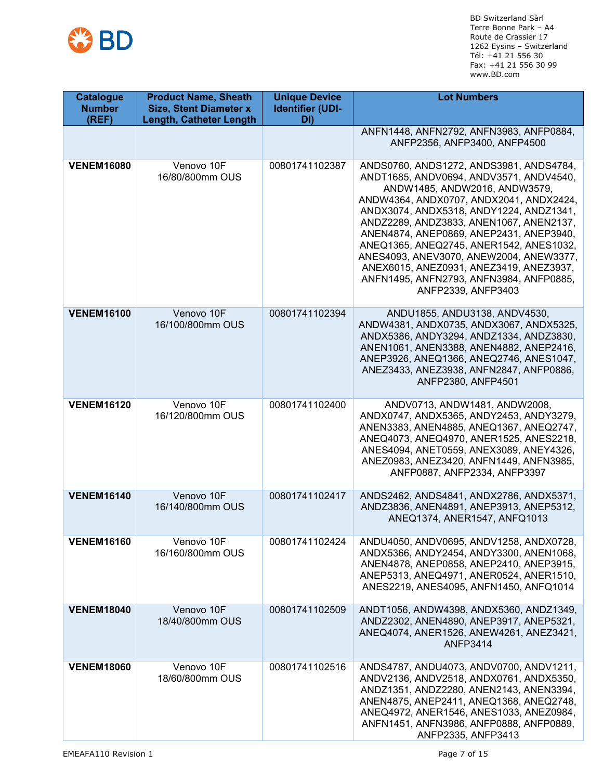

| <b>Catalogue</b><br><b>Number</b><br>(REF) | <b>Product Name, Sheath</b><br><b>Size, Stent Diameter x</b><br><b>Length, Catheter Length</b> | <b>Unique Device</b><br><b>Identifier (UDI-</b><br>DI) | <b>Lot Numbers</b>                                                                                                                                                                                                                                                                                                                                                                                                                                                                                |
|--------------------------------------------|------------------------------------------------------------------------------------------------|--------------------------------------------------------|---------------------------------------------------------------------------------------------------------------------------------------------------------------------------------------------------------------------------------------------------------------------------------------------------------------------------------------------------------------------------------------------------------------------------------------------------------------------------------------------------|
|                                            |                                                                                                |                                                        | ANFN1448, ANFN2792, ANFN3983, ANFP0884,<br>ANFP2356, ANFP3400, ANFP4500                                                                                                                                                                                                                                                                                                                                                                                                                           |
| <b>VENEM16080</b>                          | Venovo 10F<br>16/80/800mm OUS                                                                  | 00801741102387                                         | ANDS0760, ANDS1272, ANDS3981, ANDS4784,<br>ANDT1685, ANDV0694, ANDV3571, ANDV4540,<br>ANDW1485, ANDW2016, ANDW3579,<br>ANDW4364, ANDX0707, ANDX2041, ANDX2424,<br>ANDX3074, ANDX5318, ANDY1224, ANDZ1341,<br>ANDZ2289, ANDZ3833, ANEN1067, ANEN2137,<br>ANEN4874, ANEP0869, ANEP2431, ANEP3940,<br>ANEQ1365, ANEQ2745, ANER1542, ANES1032,<br>ANES4093, ANEV3070, ANEW2004, ANEW3377,<br>ANEX6015, ANEZ0931, ANEZ3419, ANEZ3937,<br>ANFN1495, ANFN2793, ANFN3984, ANFP0885,<br>ANFP2339, ANFP3403 |
| <b>VENEM16100</b>                          | Venovo 10F<br>16/100/800mm OUS                                                                 | 00801741102394                                         | ANDU1855, ANDU3138, ANDV4530,<br>ANDW4381, ANDX0735, ANDX3067, ANDX5325,<br>ANDX5386, ANDY3294, ANDZ1334, ANDZ3830,<br>ANEN1061, ANEN3388, ANEN4882, ANEP2416,<br>ANEP3926, ANEQ1366, ANEQ2746, ANES1047,<br>ANEZ3433, ANEZ3938, ANFN2847, ANFP0886,<br>ANFP2380, ANFP4501                                                                                                                                                                                                                        |
| <b>VENEM16120</b>                          | Venovo 10F<br>16/120/800mm OUS                                                                 | 00801741102400                                         | ANDV0713, ANDW1481, ANDW2008,<br>ANDX0747, ANDX5365, ANDY2453, ANDY3279,<br>ANEN3383, ANEN4885, ANEQ1367, ANEQ2747,<br>ANEQ4073, ANEQ4970, ANER1525, ANES2218,<br>ANES4094, ANET0559, ANEX3089, ANEY4326,<br>ANEZ0983, ANEZ3420, ANFN1449, ANFN3985,<br>ANFP0887, ANFP2334, ANFP3397                                                                                                                                                                                                              |
| <b>VENEM16140</b>                          | Venovo 10F<br>16/140/800mm OUS                                                                 | 00801741102417                                         | ANDS2462, ANDS4841, ANDX2786, ANDX5371,<br>ANDZ3836, ANEN4891, ANEP3913, ANEP5312,<br>ANEQ1374, ANER1547, ANFQ1013                                                                                                                                                                                                                                                                                                                                                                                |
| <b>VENEM16160</b>                          | Venovo 10F<br>16/160/800mm OUS                                                                 | 00801741102424                                         | ANDU4050, ANDV0695, ANDV1258, ANDX0728,<br>ANDX5366, ANDY2454, ANDY3300, ANEN1068,<br>ANEN4878, ANEP0858, ANEP2410, ANEP3915,<br>ANEP5313, ANEQ4971, ANER0524, ANER1510,<br>ANES2219, ANES4095, ANFN1450, ANFQ1014                                                                                                                                                                                                                                                                                |
| <b>VENEM18040</b>                          | Venovo 10F<br>18/40/800mm OUS                                                                  | 00801741102509                                         | ANDT1056, ANDW4398, ANDX5360, ANDZ1349,<br>ANDZ2302, ANEN4890, ANEP3917, ANEP5321,<br>ANEQ4074, ANER1526, ANEW4261, ANEZ3421,<br><b>ANFP3414</b>                                                                                                                                                                                                                                                                                                                                                  |
| <b>VENEM18060</b>                          | Venovo 10F<br>18/60/800mm OUS                                                                  | 00801741102516                                         | ANDS4787, ANDU4073, ANDV0700, ANDV1211,<br>ANDV2136, ANDV2518, ANDX0761, ANDX5350,<br>ANDZ1351, ANDZ2280, ANEN2143, ANEN3394,<br>ANEN4875, ANEP2411, ANEQ1368, ANEQ2748,<br>ANEQ4972, ANER1546, ANES1033, ANEZ0984,<br>ANFN1451, ANFN3986, ANFP0888, ANFP0889,<br>ANFP2335, ANFP3413                                                                                                                                                                                                              |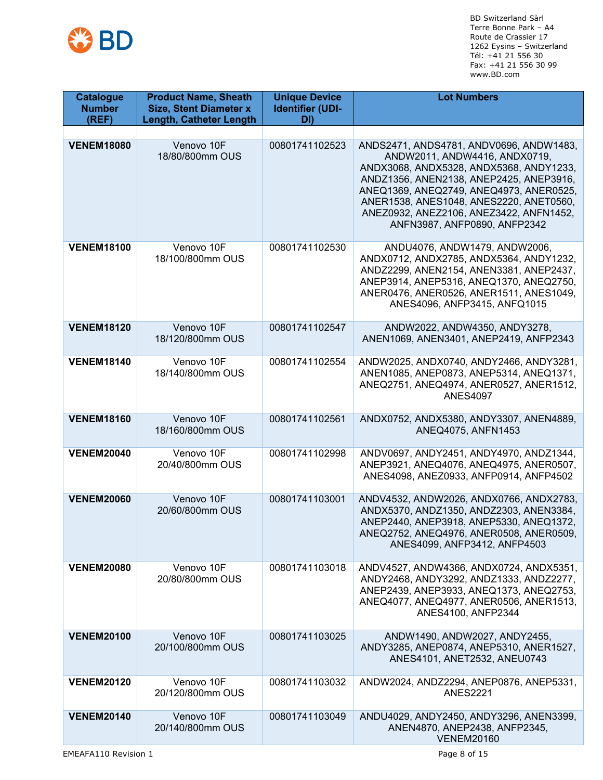

| <b>Catalogue</b><br><b>Number</b><br>(REF) | <b>Product Name, Sheath</b><br><b>Size, Stent Diameter x</b><br><b>Length, Catheter Length</b> | <b>Unique Device</b><br><b>Identifier (UDI-</b><br>DI) | <b>Lot Numbers</b>                                                                                                                                                                                                                                                                                                              |
|--------------------------------------------|------------------------------------------------------------------------------------------------|--------------------------------------------------------|---------------------------------------------------------------------------------------------------------------------------------------------------------------------------------------------------------------------------------------------------------------------------------------------------------------------------------|
|                                            |                                                                                                |                                                        |                                                                                                                                                                                                                                                                                                                                 |
| <b>VENEM18080</b>                          | Venovo 10F<br>18/80/800mm OUS                                                                  | 00801741102523                                         | ANDS2471, ANDS4781, ANDV0696, ANDW1483,<br>ANDW2011, ANDW4416, ANDX0719,<br>ANDX3068, ANDX5328, ANDX5368, ANDY1233,<br>ANDZ1356, ANEN2138, ANEP2425, ANEP3916,<br>ANEQ1369, ANEQ2749, ANEQ4973, ANER0525,<br>ANER1538, ANES1048, ANES2220, ANET0560,<br>ANEZ0932, ANEZ2106, ANEZ3422, ANFN1452,<br>ANFN3987, ANFP0890, ANFP2342 |
| <b>VENEM18100</b>                          | Venovo 10F<br>18/100/800mm OUS                                                                 | 00801741102530                                         | ANDU4076, ANDW1479, ANDW2006,<br>ANDX0712, ANDX2785, ANDX5364, ANDY1232,<br>ANDZ2299, ANEN2154, ANEN3381, ANEP2437,<br>ANEP3914, ANEP5316, ANEQ1370, ANEQ2750,<br>ANER0476, ANER0526, ANER1511, ANES1049,<br>ANES4096, ANFP3415, ANFQ1015                                                                                       |
| <b>VENEM18120</b>                          | Venovo 10F<br>18/120/800mm OUS                                                                 | 00801741102547                                         | ANDW2022, ANDW4350, ANDY3278,<br>ANEN1069, ANEN3401, ANEP2419, ANFP2343                                                                                                                                                                                                                                                         |
| <b>VENEM18140</b>                          | Venovo 10F<br>18/140/800mm OUS                                                                 | 00801741102554                                         | ANDW2025, ANDX0740, ANDY2466, ANDY3281,<br>ANEN1085, ANEP0873, ANEP5314, ANEQ1371,<br>ANEQ2751, ANEQ4974, ANER0527, ANER1512,<br><b>ANES4097</b>                                                                                                                                                                                |
| <b>VENEM18160</b>                          | Venovo 10F<br>18/160/800mm OUS                                                                 | 00801741102561                                         | ANDX0752, ANDX5380, ANDY3307, ANEN4889,<br>ANEQ4075, ANFN1453                                                                                                                                                                                                                                                                   |
| <b>VENEM20040</b>                          | Venovo 10F<br>20/40/800mm OUS                                                                  | 00801741102998                                         | ANDV0697, ANDY2451, ANDY4970, ANDZ1344,<br>ANEP3921, ANEQ4076, ANEQ4975, ANER0507,<br>ANES4098, ANEZ0933, ANFP0914, ANFP4502                                                                                                                                                                                                    |
| <b>VENEM20060</b>                          | Venovo 10F<br>20/60/800mm OUS                                                                  | 00801741103001                                         | ANDV4532, ANDW2026, ANDX0766, ANDX2783,<br>ANDX5370, ANDZ1350, ANDZ2303, ANEN3384,<br>ANEP2440, ANEP3918, ANEP5330, ANEQ1372,<br>ANEQ2752, ANEQ4976, ANER0508, ANER0509,<br>ANES4099, ANFP3412, ANFP4503                                                                                                                        |
| <b>VENEM20080</b>                          | Venovo 10F<br>20/80/800mm OUS                                                                  | 00801741103018                                         | ANDV4527, ANDW4366, ANDX0724, ANDX5351,<br>ANDY2468, ANDY3292, ANDZ1333, ANDZ2277,<br>ANEP2439, ANEP3933, ANEQ1373, ANEQ2753,<br>ANEQ4077, ANEQ4977, ANER0506, ANER1513,<br>ANES4100, ANFP2344                                                                                                                                  |
| <b>VENEM20100</b>                          | Venovo 10F<br>20/100/800mm OUS                                                                 | 00801741103025                                         | ANDW1490, ANDW2027, ANDY2455,<br>ANDY3285, ANEP0874, ANEP5310, ANER1527,<br>ANES4101, ANET2532, ANEU0743                                                                                                                                                                                                                        |
| <b>VENEM20120</b>                          | Venovo 10F<br>20/120/800mm OUS                                                                 | 00801741103032                                         | ANDW2024, ANDZ2294, ANEP0876, ANEP5331,<br><b>ANES2221</b>                                                                                                                                                                                                                                                                      |
| <b>VENEM20140</b>                          | Venovo 10F<br>20/140/800mm OUS                                                                 | 00801741103049                                         | ANDU4029, ANDY2450, ANDY3296, ANEN3399,<br>ANEN4870, ANEP2438, ANFP2345,<br><b>VENEM20160</b>                                                                                                                                                                                                                                   |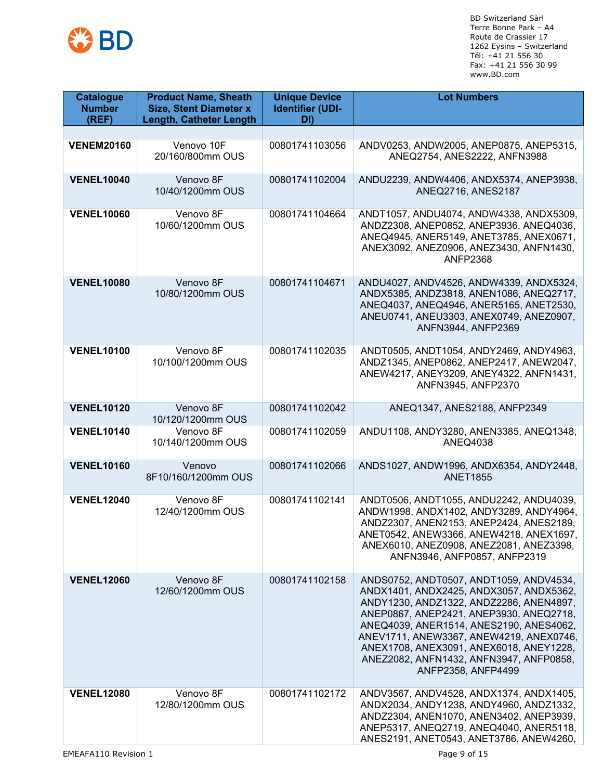

| <b>Catalogue</b><br><b>Number</b><br>(REF) | <b>Product Name, Sheath</b><br><b>Size, Stent Diameter x</b><br><b>Length, Catheter Length</b> | <b>Unique Device</b><br><b>Identifier (UDI-</b><br>DI) | <b>Lot Numbers</b>                                                                                                                                                                                                                                                                                                                                                         |
|--------------------------------------------|------------------------------------------------------------------------------------------------|--------------------------------------------------------|----------------------------------------------------------------------------------------------------------------------------------------------------------------------------------------------------------------------------------------------------------------------------------------------------------------------------------------------------------------------------|
|                                            |                                                                                                |                                                        |                                                                                                                                                                                                                                                                                                                                                                            |
| <b>VENEM20160</b>                          | Venovo 10F<br>20/160/800mm OUS                                                                 | 00801741103056                                         | ANDV0253, ANDW2005, ANEP0875, ANEP5315,<br>ANEQ2754, ANES2222, ANFN3988                                                                                                                                                                                                                                                                                                    |
| <b>VENEL10040</b>                          | Venovo 8F<br>10/40/1200mm OUS                                                                  | 00801741102004                                         | ANDU2239, ANDW4406, ANDX5374, ANEP3938,<br>ANEQ2716, ANES2187                                                                                                                                                                                                                                                                                                              |
| <b>VENEL10060</b>                          | Venovo 8F<br>10/60/1200mm OUS                                                                  | 00801741104664                                         | ANDT1057, ANDU4074, ANDW4338, ANDX5309,<br>ANDZ2308, ANEP0852, ANEP3936, ANEQ4036,<br>ANEQ4945, ANER5149, ANET3785, ANEX0671,<br>ANEX3092, ANEZ0906, ANEZ3430, ANFN1430,<br><b>ANFP2368</b>                                                                                                                                                                                |
| <b>VENEL10080</b>                          | Venovo 8F<br>10/80/1200mm OUS                                                                  | 00801741104671                                         | ANDU4027, ANDV4526, ANDW4339, ANDX5324,<br>ANDX5385, ANDZ3818, ANEN1086, ANEQ2717,<br>ANEQ4037, ANEQ4946, ANER5165, ANET2530,<br>ANEU0741, ANEU3303, ANEX0749, ANEZ0907,<br>ANFN3944, ANFP2369                                                                                                                                                                             |
| <b>VENEL10100</b>                          | Venovo 8F<br>10/100/1200mm OUS                                                                 | 00801741102035                                         | ANDT0505, ANDT1054, ANDY2469, ANDY4963,<br>ANDZ1345, ANEP0862, ANEP2417, ANEW2047,<br>ANEW4217, ANEY3209, ANEY4322, ANFN1431,<br>ANFN3945, ANFP2370                                                                                                                                                                                                                        |
| <b>VENEL10120</b>                          | Venovo 8F<br>10/120/1200mm OUS                                                                 | 00801741102042                                         | ANEQ1347, ANES2188, ANFP2349                                                                                                                                                                                                                                                                                                                                               |
| <b>VENEL10140</b>                          | Venovo 8F<br>10/140/1200mm OUS                                                                 | 00801741102059                                         | ANDU1108, ANDY3280, ANEN3385, ANEQ1348,<br><b>ANEQ4038</b>                                                                                                                                                                                                                                                                                                                 |
| <b>VENEL10160</b>                          | Venovo<br>8F10/160/1200mm OUS                                                                  | 00801741102066                                         | ANDS1027, ANDW1996, ANDX6354, ANDY2448,<br><b>ANET1855</b>                                                                                                                                                                                                                                                                                                                 |
| <b>VENEL12040</b>                          | Venovo 8F<br>12/40/1200mm OUS                                                                  | 00801741102141                                         | ANDT0506, ANDT1055, ANDU2242, ANDU4039,<br>ANDW1998, ANDX1402, ANDY3289, ANDY4964,<br>ANDZ2307, ANEN2153, ANEP2424, ANES2189,<br>ANET0542, ANEW3366, ANEW4218, ANEX1697,<br>ANEX6010, ANEZ0908, ANEZ2081, ANEZ3398,<br>ANFN3946, ANFP0857, ANFP2319                                                                                                                        |
| <b>VENEL12060</b>                          | Venovo 8F<br>12/60/1200mm OUS                                                                  | 00801741102158                                         | ANDS0752, ANDT0507, ANDT1059, ANDV4534,<br>ANDX1401, ANDX2425, ANDX3057, ANDX5362,<br>ANDY1230, ANDZ1322, ANDZ2286, ANEN4897,<br>ANEP0867, ANEP2421, ANEP3930, ANEQ2718,<br>ANEQ4039, ANER1514, ANES2190, ANES4062,<br>ANEV1711, ANEW3367, ANEW4219, ANEX0746,<br>ANEX1708, ANEX3091, ANEX6018, ANEY1228,<br>ANEZ2082, ANFN1432, ANFN3947, ANFP0858,<br>ANFP2358, ANFP4499 |
| <b>VENEL12080</b>                          | Venovo 8F<br>12/80/1200mm OUS                                                                  | 00801741102172                                         | ANDV3567, ANDV4528, ANDX1374, ANDX1405,<br>ANDX2034, ANDY1238, ANDY4960, ANDZ1332,<br>ANDZ2304, ANEN1070, ANEN3402, ANEP3939,<br>ANEP5317, ANEQ2719, ANEQ4040, ANER5118,<br>ANES2191, ANET0543, ANET3786, ANEW4260,                                                                                                                                                        |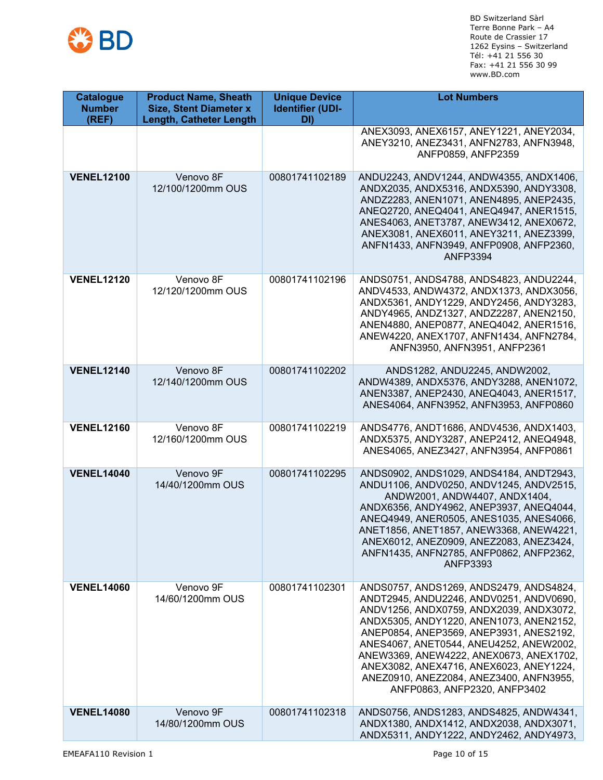

| <b>Catalogue</b><br><b>Number</b><br>(REF) | <b>Product Name, Sheath</b><br><b>Size, Stent Diameter x</b><br><b>Length, Catheter Length</b> | <b>Unique Device</b><br><b>Identifier (UDI-</b><br>DI) | <b>Lot Numbers</b>                                                                                                                                                                                                                                                                                                                                                                                                              |
|--------------------------------------------|------------------------------------------------------------------------------------------------|--------------------------------------------------------|---------------------------------------------------------------------------------------------------------------------------------------------------------------------------------------------------------------------------------------------------------------------------------------------------------------------------------------------------------------------------------------------------------------------------------|
|                                            |                                                                                                |                                                        | ANEX3093, ANEX6157, ANEY1221, ANEY2034,<br>ANEY3210, ANEZ3431, ANFN2783, ANFN3948,<br>ANFP0859, ANFP2359                                                                                                                                                                                                                                                                                                                        |
| <b>VENEL12100</b>                          | Venovo 8F<br>12/100/1200mm OUS                                                                 | 00801741102189                                         | ANDU2243, ANDV1244, ANDW4355, ANDX1406,<br>ANDX2035, ANDX5316, ANDX5390, ANDY3308,<br>ANDZ2283, ANEN1071, ANEN4895, ANEP2435,<br>ANEQ2720, ANEQ4041, ANEQ4947, ANER1515,<br>ANES4063, ANET3787, ANEW3412, ANEX0672,<br>ANEX3081, ANEX6011, ANEY3211, ANEZ3399,<br>ANFN1433, ANFN3949, ANFP0908, ANFP2360,<br><b>ANFP3394</b>                                                                                                    |
| <b>VENEL12120</b>                          | Venovo 8F<br>12/120/1200mm OUS                                                                 | 00801741102196                                         | ANDS0751, ANDS4788, ANDS4823, ANDU2244,<br>ANDV4533, ANDW4372, ANDX1373, ANDX3056,<br>ANDX5361, ANDY1229, ANDY2456, ANDY3283,<br>ANDY4965, ANDZ1327, ANDZ2287, ANEN2150,<br>ANEN4880, ANEP0877, ANEQ4042, ANER1516,<br>ANEW4220, ANEX1707, ANFN1434, ANFN2784,<br>ANFN3950, ANFN3951, ANFP2361                                                                                                                                  |
| <b>VENEL12140</b>                          | Venovo 8F<br>12/140/1200mm OUS                                                                 | 00801741102202                                         | ANDS1282, ANDU2245, ANDW2002,<br>ANDW4389, ANDX5376, ANDY3288, ANEN1072,<br>ANEN3387, ANEP2430, ANEQ4043, ANER1517,<br>ANES4064, ANFN3952, ANFN3953, ANFP0860                                                                                                                                                                                                                                                                   |
| <b>VENEL12160</b>                          | Venovo 8F<br>12/160/1200mm OUS                                                                 | 00801741102219                                         | ANDS4776, ANDT1686, ANDV4536, ANDX1403,<br>ANDX5375, ANDY3287, ANEP2412, ANEQ4948,<br>ANES4065, ANEZ3427, ANFN3954, ANFP0861                                                                                                                                                                                                                                                                                                    |
| <b>VENEL14040</b>                          | Venovo 9F<br>14/40/1200mm OUS                                                                  | 00801741102295                                         | ANDS0902, ANDS1029, ANDS4184, ANDT2943,<br>ANDU1106, ANDV0250, ANDV1245, ANDV2515,<br>ANDW2001, ANDW4407, ANDX1404,<br>ANDX6356, ANDY4962, ANEP3937, ANEQ4044,<br>ANEQ4949, ANER0505, ANES1035, ANES4066,<br>ANET1856, ANET1857, ANEW3368, ANEW4221,<br>ANEX6012, ANEZ0909, ANEZ2083, ANEZ3424,<br>ANFN1435, ANFN2785, ANFP0862, ANFP2362,<br><b>ANFP3393</b>                                                                   |
| <b>VENEL14060</b>                          | Venovo 9F<br>14/60/1200mm OUS                                                                  | 00801741102301                                         | ANDS0757, ANDS1269, ANDS2479, ANDS4824,<br>ANDT2945, ANDU2246, ANDV0251, ANDV0690,<br>ANDV1256, ANDX0759, ANDX2039, ANDX3072,<br>ANDX5305, ANDY1220, ANEN1073, ANEN2152,<br>ANEP0854, ANEP3569, ANEP3931, ANES2192,<br>ANES4067, ANET0544, ANEU4252, ANEW2002,<br>ANEW3369, ANEW4222, ANEX0673, ANEX1702,<br>ANEX3082, ANEX4716, ANEX6023, ANEY1224,<br>ANEZ0910, ANEZ2084, ANEZ3400, ANFN3955,<br>ANFP0863, ANFP2320, ANFP3402 |
| <b>VENEL14080</b>                          | Venovo 9F<br>14/80/1200mm OUS                                                                  | 00801741102318                                         | ANDS0756, ANDS1283, ANDS4825, ANDW4341,<br>ANDX1380, ANDX1412, ANDX2038, ANDX3071,<br>ANDX5311, ANDY1222, ANDY2462, ANDY4973,                                                                                                                                                                                                                                                                                                   |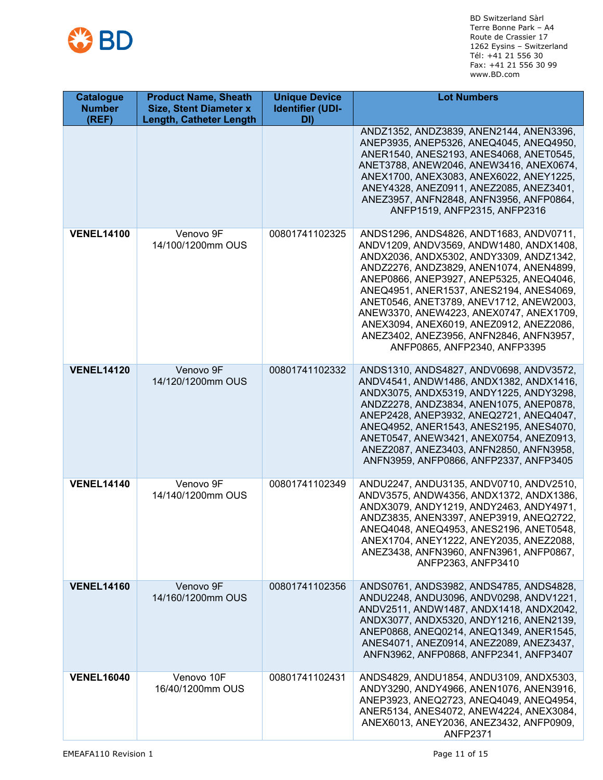

| <b>Catalogue</b><br><b>Number</b><br>(REF) | <b>Product Name, Sheath</b><br><b>Size, Stent Diameter x</b><br><b>Length, Catheter Length</b> | <b>Unique Device</b><br><b>Identifier (UDI-</b><br>DI) | <b>Lot Numbers</b>                                                                                                                                                                                                                                                                                                                                                                                                                                                         |
|--------------------------------------------|------------------------------------------------------------------------------------------------|--------------------------------------------------------|----------------------------------------------------------------------------------------------------------------------------------------------------------------------------------------------------------------------------------------------------------------------------------------------------------------------------------------------------------------------------------------------------------------------------------------------------------------------------|
|                                            |                                                                                                |                                                        | ANDZ1352, ANDZ3839, ANEN2144, ANEN3396,<br>ANEP3935, ANEP5326, ANEQ4045, ANEQ4950,<br>ANER1540, ANES2193, ANES4068, ANET0545,<br>ANET3788, ANEW2046, ANEW3416, ANEX0674,<br>ANEX1700, ANEX3083, ANEX6022, ANEY1225,<br>ANEY4328, ANEZ0911, ANEZ2085, ANEZ3401,<br>ANEZ3957, ANFN2848, ANFN3956, ANFP0864,<br>ANFP1519, ANFP2315, ANFP2316                                                                                                                                  |
| <b>VENEL14100</b>                          | Venovo 9F<br>14/100/1200mm OUS                                                                 | 00801741102325                                         | ANDS1296, ANDS4826, ANDT1683, ANDV0711,<br>ANDV1209, ANDV3569, ANDW1480, ANDX1408,<br>ANDX2036, ANDX5302, ANDY3309, ANDZ1342,<br>ANDZ2276, ANDZ3829, ANEN1074, ANEN4899,<br>ANEP0866, ANEP3927, ANEP5325, ANEQ4046,<br>ANEQ4951, ANER1537, ANES2194, ANES4069,<br>ANET0546, ANET3789, ANEV1712, ANEW2003,<br>ANEW3370, ANEW4223, ANEX0747, ANEX1709,<br>ANEX3094, ANEX6019, ANEZ0912, ANEZ2086,<br>ANEZ3402, ANEZ3956, ANFN2846, ANFN3957,<br>ANFP0865, ANFP2340, ANFP3395 |
| <b>VENEL14120</b>                          | Venovo 9F<br>14/120/1200mm OUS                                                                 | 00801741102332                                         | ANDS1310, ANDS4827, ANDV0698, ANDV3572,<br>ANDV4541, ANDW1486, ANDX1382, ANDX1416,<br>ANDX3075, ANDX5319, ANDY1225, ANDY3298,<br>ANDZ2278, ANDZ3834, ANEN1075, ANEP0878,<br>ANEP2428, ANEP3932, ANEQ2721, ANEQ4047,<br>ANEQ4952, ANER1543, ANES2195, ANES4070,<br>ANET0547, ANEW3421, ANEX0754, ANEZ0913,<br>ANEZ2087, ANEZ3403, ANFN2850, ANFN3958,<br>ANFN3959, ANFP0866, ANFP2337, ANFP3405                                                                             |
| <b>VENEL14140</b>                          | Venovo 9F<br>14/140/1200mm OUS                                                                 | 00801741102349                                         | ANDU2247, ANDU3135, ANDV0710, ANDV2510,<br>ANDV3575, ANDW4356, ANDX1372, ANDX1386,<br>ANDX3079, ANDY1219, ANDY2463, ANDY4971,<br>ANDZ3835, ANEN3397, ANEP3919, ANEQ2722,<br>ANEQ4048, ANEQ4953, ANES2196, ANET0548,<br>ANEX1704, ANEY1222, ANEY2035, ANEZ2088,<br>ANEZ3438, ANFN3960, ANFN3961, ANFP0867,<br>ANFP2363, ANFP3410                                                                                                                                            |
| <b>VENEL14160</b>                          | Venovo 9F<br>14/160/1200mm OUS                                                                 | 00801741102356                                         | ANDS0761, ANDS3982, ANDS4785, ANDS4828,<br>ANDU2248, ANDU3096, ANDV0298, ANDV1221,<br>ANDV2511, ANDW1487, ANDX1418, ANDX2042,<br>ANDX3077, ANDX5320, ANDY1216, ANEN2139,<br>ANEP0868, ANEQ0214, ANEQ1349, ANER1545,<br>ANES4071, ANEZ0914, ANEZ2089, ANEZ3437,<br>ANFN3962, ANFP0868, ANFP2341, ANFP3407                                                                                                                                                                   |
| <b>VENEL16040</b>                          | Venovo 10F<br>16/40/1200mm OUS                                                                 | 00801741102431                                         | ANDS4829, ANDU1854, ANDU3109, ANDX5303,<br>ANDY3290, ANDY4966, ANEN1076, ANEN3916,<br>ANEP3923, ANEQ2723, ANEQ4049, ANEQ4954,<br>ANER5134, ANES4072, ANEW4224, ANEX3084,<br>ANEX6013, ANEY2036, ANEZ3432, ANFP0909,<br><b>ANFP2371</b>                                                                                                                                                                                                                                     |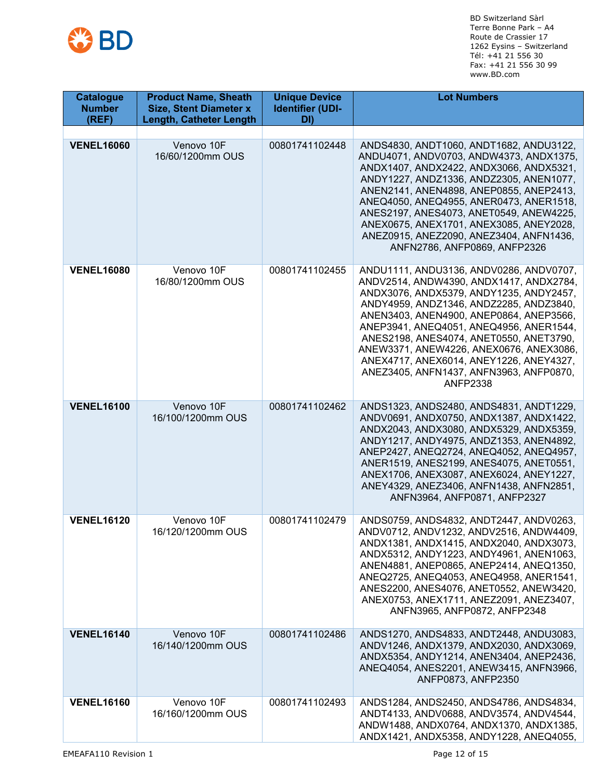

| <b>Catalogue</b><br><b>Number</b><br>(REF) | <b>Product Name, Sheath</b><br><b>Size, Stent Diameter x</b><br><b>Length, Catheter Length</b> | <b>Unique Device</b><br><b>Identifier (UDI-</b><br>DI) | <b>Lot Numbers</b>                                                                                                                                                                                                                                                                                                                                                                                                                                            |
|--------------------------------------------|------------------------------------------------------------------------------------------------|--------------------------------------------------------|---------------------------------------------------------------------------------------------------------------------------------------------------------------------------------------------------------------------------------------------------------------------------------------------------------------------------------------------------------------------------------------------------------------------------------------------------------------|
|                                            |                                                                                                |                                                        |                                                                                                                                                                                                                                                                                                                                                                                                                                                               |
| <b>VENEL16060</b>                          | Venovo 10F<br>16/60/1200mm OUS                                                                 | 00801741102448                                         | ANDS4830, ANDT1060, ANDT1682, ANDU3122,<br>ANDU4071, ANDV0703, ANDW4373, ANDX1375,<br>ANDX1407, ANDX2422, ANDX3066, ANDX5321,<br>ANDY1227, ANDZ1336, ANDZ2305, ANEN1077,<br>ANEN2141, ANEN4898, ANEP0855, ANEP2413,<br>ANEQ4050, ANEQ4955, ANER0473, ANER1518,<br>ANES2197, ANES4073, ANET0549, ANEW4225,<br>ANEX0675, ANEX1701, ANEX3085, ANEY2028,<br>ANEZ0915, ANEZ2090, ANEZ3404, ANFN1436,<br>ANFN2786, ANFP0869, ANFP2326                               |
| <b>VENEL16080</b>                          | Venovo 10F<br>16/80/1200mm OUS                                                                 | 00801741102455                                         | ANDU1111, ANDU3136, ANDV0286, ANDV0707,<br>ANDV2514, ANDW4390, ANDX1417, ANDX2784,<br>ANDX3076, ANDX5379, ANDY1235, ANDY2457,<br>ANDY4959, ANDZ1346, ANDZ2285, ANDZ3840,<br>ANEN3403, ANEN4900, ANEP0864, ANEP3566,<br>ANEP3941, ANEQ4051, ANEQ4956, ANER1544,<br>ANES2198, ANES4074, ANET0550, ANET3790,<br>ANEW3371, ANEW4226, ANEX0676, ANEX3086,<br>ANEX4717, ANEX6014, ANEY1226, ANEY4327,<br>ANEZ3405, ANFN1437, ANFN3963, ANFP0870,<br><b>ANFP2338</b> |
| <b>VENEL16100</b>                          | Venovo 10F<br>16/100/1200mm OUS                                                                | 00801741102462                                         | ANDS1323, ANDS2480, ANDS4831, ANDT1229,<br>ANDV0691, ANDX0750, ANDX1387, ANDX1422,<br>ANDX2043, ANDX3080, ANDX5329, ANDX5359,<br>ANDY1217, ANDY4975, ANDZ1353, ANEN4892,<br>ANEP2427, ANEQ2724, ANEQ4052, ANEQ4957,<br>ANER1519, ANES2199, ANES4075, ANET0551,<br>ANEX1706, ANEX3087, ANEX6024, ANEY1227,<br>ANEY4329, ANEZ3406, ANFN1438, ANFN2851,<br>ANFN3964, ANFP0871, ANFP2327                                                                          |
| <b>VENEL16120</b>                          | Venovo 10F<br>16/120/1200mm OUS                                                                | 00801741102479                                         | ANDS0759, ANDS4832, ANDT2447, ANDV0263,<br>ANDV0712, ANDV1232, ANDV2516, ANDW4409,<br>ANDX1381, ANDX1415, ANDX2040, ANDX3073,<br>ANDX5312, ANDY1223, ANDY4961, ANEN1063,<br>ANEN4881, ANEP0865, ANEP2414, ANEQ1350,<br>ANEQ2725, ANEQ4053, ANEQ4958, ANER1541,<br>ANES2200, ANES4076, ANET0552, ANEW3420,<br>ANEX0753, ANEX1711, ANEZ2091, ANEZ3407,<br>ANFN3965, ANFP0872, ANFP2348                                                                          |
| <b>VENEL16140</b>                          | Venovo 10F<br>16/140/1200mm OUS                                                                | 00801741102486                                         | ANDS1270, ANDS4833, ANDT2448, ANDU3083,<br>ANDV1246, ANDX1379, ANDX2030, ANDX3069,<br>ANDX5354, ANDY1214, ANEN3404, ANEP2436,<br>ANEQ4054, ANES2201, ANEW3415, ANFN3966,<br>ANFP0873, ANFP2350                                                                                                                                                                                                                                                                |
| <b>VENEL16160</b>                          | Venovo 10F<br>16/160/1200mm OUS                                                                | 00801741102493                                         | ANDS1284, ANDS2450, ANDS4786, ANDS4834,<br>ANDT4133, ANDV0688, ANDV3574, ANDV4544,<br>ANDW1488, ANDX0764, ANDX1370, ANDX1385,<br>ANDX1421, ANDX5358, ANDY1228, ANEQ4055,                                                                                                                                                                                                                                                                                      |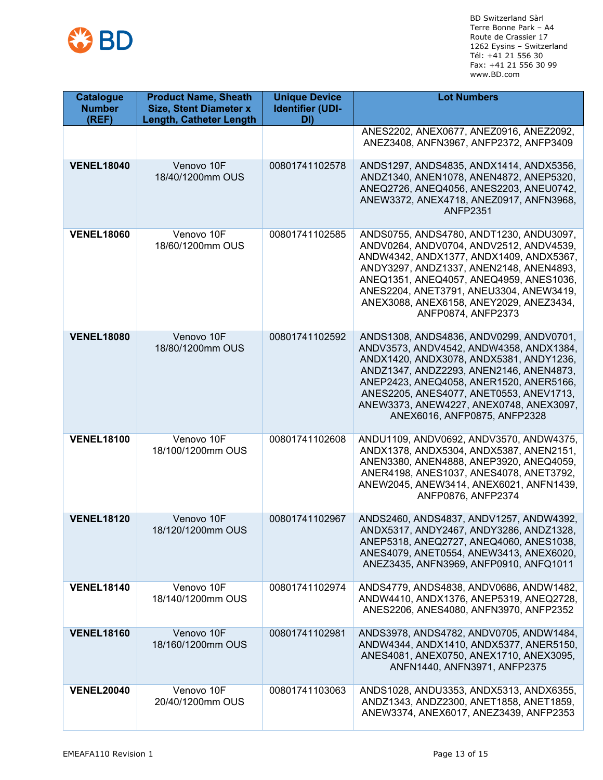

| <b>Catalogue</b><br><b>Number</b><br>(REF) | <b>Product Name, Sheath</b><br><b>Size, Stent Diameter x</b><br><b>Length, Catheter Length</b> | <b>Unique Device</b><br><b>Identifier (UDI-</b><br>DI) | <b>Lot Numbers</b>                                                                                                                                                                                                                                                                                                                        |
|--------------------------------------------|------------------------------------------------------------------------------------------------|--------------------------------------------------------|-------------------------------------------------------------------------------------------------------------------------------------------------------------------------------------------------------------------------------------------------------------------------------------------------------------------------------------------|
|                                            |                                                                                                |                                                        | ANES2202, ANEX0677, ANEZ0916, ANEZ2092,<br>ANEZ3408, ANFN3967, ANFP2372, ANFP3409                                                                                                                                                                                                                                                         |
| <b>VENEL18040</b>                          | Venovo 10F<br>18/40/1200mm OUS                                                                 | 00801741102578                                         | ANDS1297, ANDS4835, ANDX1414, ANDX5356,<br>ANDZ1340, ANEN1078, ANEN4872, ANEP5320,<br>ANEQ2726, ANEQ4056, ANES2203, ANEU0742,<br>ANEW3372, ANEX4718, ANEZ0917, ANFN3968,<br><b>ANFP2351</b>                                                                                                                                               |
| <b>VENEL18060</b>                          | Venovo 10F<br>18/60/1200mm OUS                                                                 | 00801741102585                                         | ANDS0755, ANDS4780, ANDT1230, ANDU3097,<br>ANDV0264, ANDV0704, ANDV2512, ANDV4539,<br>ANDW4342, ANDX1377, ANDX1409, ANDX5367,<br>ANDY3297, ANDZ1337, ANEN2148, ANEN4893,<br>ANEQ1351, ANEQ4057, ANEQ4959, ANES1036,<br>ANES2204, ANET3791, ANEU3304, ANEW3419,<br>ANEX3088, ANEX6158, ANEY2029, ANEZ3434,<br>ANFP0874, ANFP2373           |
| <b>VENEL18080</b>                          | Venovo 10F<br>18/80/1200mm OUS                                                                 | 00801741102592                                         | ANDS1308, ANDS4836, ANDV0299, ANDV0701,<br>ANDV3573, ANDV4542, ANDW4358, ANDX1384,<br>ANDX1420, ANDX3078, ANDX5381, ANDY1236,<br>ANDZ1347, ANDZ2293, ANEN2146, ANEN4873,<br>ANEP2423, ANEQ4058, ANER1520, ANER5166,<br>ANES2205, ANES4077, ANET0553, ANEV1713,<br>ANEW3373, ANEW4227, ANEX0748, ANEX3097,<br>ANEX6016, ANFP0875, ANFP2328 |
| <b>VENEL18100</b>                          | Venovo 10F<br>18/100/1200mm OUS                                                                | 00801741102608                                         | ANDU1109, ANDV0692, ANDV3570, ANDW4375,<br>ANDX1378, ANDX5304, ANDX5387, ANEN2151,<br>ANEN3380, ANEN4888, ANEP3920, ANEQ4059,<br>ANER4198, ANES1037, ANES4078, ANET3792,<br>ANEW2045, ANEW3414, ANEX6021, ANFN1439,<br>ANFP0876, ANFP2374                                                                                                 |
| <b>VENEL18120</b>                          | Venovo 10F<br>18/120/1200mm OUS                                                                | 00801741102967                                         | ANDS2460, ANDS4837, ANDV1257, ANDW4392,<br>ANDX5317, ANDY2467, ANDY3286, ANDZ1328,<br>ANEP5318, ANEQ2727, ANEQ4060, ANES1038,<br>ANES4079, ANET0554, ANEW3413, ANEX6020,<br>ANEZ3435, ANFN3969, ANFP0910, ANFQ1011                                                                                                                        |
| <b>VENEL18140</b>                          | Venovo 10F<br>18/140/1200mm OUS                                                                | 00801741102974                                         | ANDS4779, ANDS4838, ANDV0686, ANDW1482,<br>ANDW4410, ANDX1376, ANEP5319, ANEQ2728,<br>ANES2206, ANES4080, ANFN3970, ANFP2352                                                                                                                                                                                                              |
| <b>VENEL18160</b>                          | Venovo 10F<br>18/160/1200mm OUS                                                                | 00801741102981                                         | ANDS3978, ANDS4782, ANDV0705, ANDW1484,<br>ANDW4344, ANDX1410, ANDX5377, ANER5150,<br>ANES4081, ANEX0750, ANEX1710, ANEX3095,<br>ANFN1440, ANFN3971, ANFP2375                                                                                                                                                                             |
| <b>VENEL20040</b>                          | Venovo 10F<br>20/40/1200mm OUS                                                                 | 00801741103063                                         | ANDS1028, ANDU3353, ANDX5313, ANDX6355,<br>ANDZ1343, ANDZ2300, ANET1858, ANET1859,<br>ANEW3374, ANEX6017, ANEZ3439, ANFP2353                                                                                                                                                                                                              |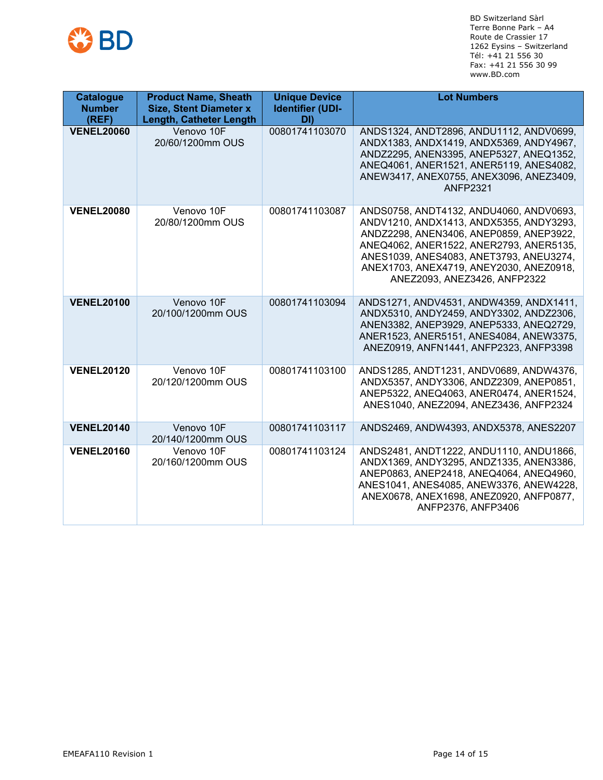

| <b>Catalogue</b><br><b>Number</b><br>(REF) | <b>Product Name, Sheath</b><br><b>Size, Stent Diameter x</b><br><b>Length, Catheter Length</b> | <b>Unique Device</b><br><b>Identifier (UDI-</b><br>DI) | <b>Lot Numbers</b>                                                                                                                                                                                                                                                                             |
|--------------------------------------------|------------------------------------------------------------------------------------------------|--------------------------------------------------------|------------------------------------------------------------------------------------------------------------------------------------------------------------------------------------------------------------------------------------------------------------------------------------------------|
| <b>VENEL20060</b>                          | Venovo 10F<br>20/60/1200mm OUS                                                                 | 00801741103070                                         | ANDS1324, ANDT2896, ANDU1112, ANDV0699,<br>ANDX1383, ANDX1419, ANDX5369, ANDY4967,<br>ANDZ2295, ANEN3395, ANEP5327, ANEQ1352,<br>ANEQ4061, ANER1521, ANER5119, ANES4082,<br>ANEW3417, ANEX0755, ANEX3096, ANEZ3409,<br><b>ANFP2321</b>                                                         |
| <b>VENEL20080</b>                          | Venovo 10F<br>20/80/1200mm OUS                                                                 | 00801741103087                                         | ANDS0758, ANDT4132, ANDU4060, ANDV0693,<br>ANDV1210, ANDX1413, ANDX5355, ANDY3293,<br>ANDZ2298, ANEN3406, ANEP0859, ANEP3922,<br>ANEQ4062, ANER1522, ANER2793, ANER5135,<br>ANES1039, ANES4083, ANET3793, ANEU3274,<br>ANEX1703, ANEX4719, ANEY2030, ANEZ0918,<br>ANEZ2093, ANEZ3426, ANFP2322 |
| <b>VENEL20100</b>                          | Venovo 10F<br>20/100/1200mm OUS                                                                | 00801741103094                                         | ANDS1271, ANDV4531, ANDW4359, ANDX1411,<br>ANDX5310, ANDY2459, ANDY3302, ANDZ2306,<br>ANEN3382, ANEP3929, ANEP5333, ANEQ2729,<br>ANER1523, ANER5151, ANES4084, ANEW3375,<br>ANEZ0919, ANFN1441, ANFP2323, ANFP3398                                                                             |
| <b>VENEL20120</b>                          | Venovo 10F<br>20/120/1200mm OUS                                                                | 00801741103100                                         | ANDS1285, ANDT1231, ANDV0689, ANDW4376,<br>ANDX5357, ANDY3306, ANDZ2309, ANEP0851,<br>ANEP5322, ANEQ4063, ANER0474, ANER1524,<br>ANES1040, ANEZ2094, ANEZ3436, ANFP2324                                                                                                                        |
| <b>VENEL20140</b>                          | Venovo 10F<br>20/140/1200mm OUS                                                                | 00801741103117                                         | ANDS2469, ANDW4393, ANDX5378, ANES2207                                                                                                                                                                                                                                                         |
| <b>VENEL20160</b>                          | Venovo 10F<br>20/160/1200mm OUS                                                                | 00801741103124                                         | ANDS2481, ANDT1222, ANDU1110, ANDU1866,<br>ANDX1369, ANDY3295, ANDZ1335, ANEN3386,<br>ANEP0863, ANEP2418, ANEQ4064, ANEQ4960,<br>ANES1041, ANES4085, ANEW3376, ANEW4228,<br>ANEX0678, ANEX1698, ANEZ0920, ANFP0877,<br>ANFP2376, ANFP3406                                                      |